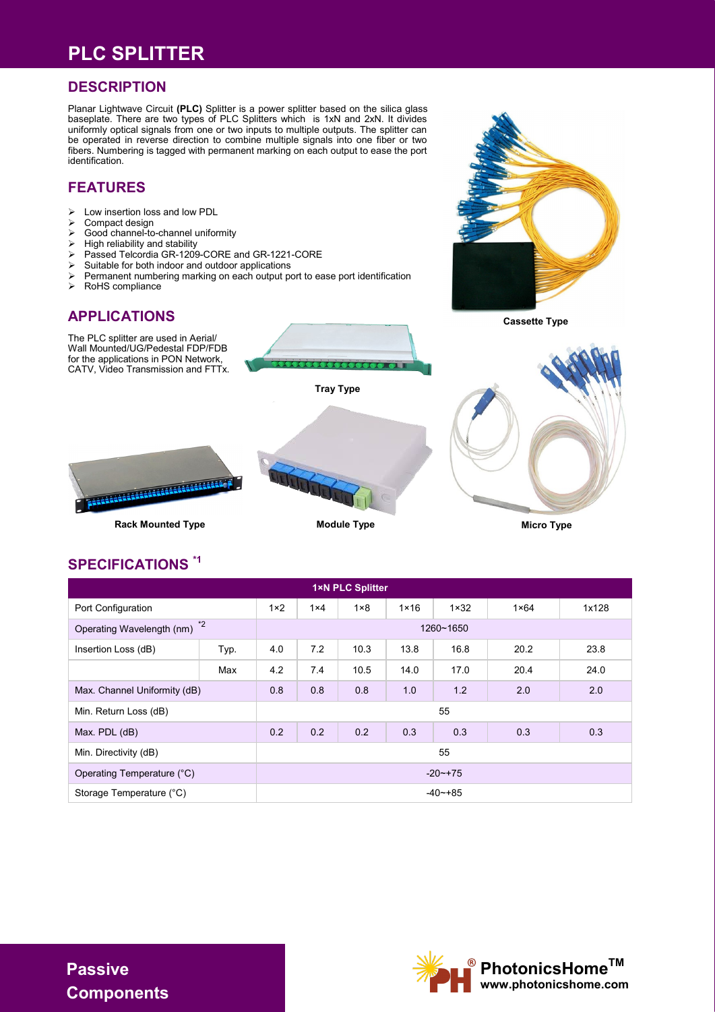### **PLC SPLITTER**

#### **DESCRIPTION**

Planar Lightwave Circuit **(PLC)** Splitter is a power splitter based on the silica glass baseplate. There are two types of PLC Splitters which is 1xN and 2xN. It divides uniformly optical signals from one or two inputs to multiple outputs. The splitter can be operated in reverse direction to combine multiple signals into one fiber or two fibers. Numbering is tagged with permanent marking on each output to ease the port identification.

#### **FEATURES**

- $\geq$  Low insertion loss and low PDL<br> $\geq$  Compact design
- ➢ Compact design
- ➢ Good channel-to-channel uniformity
- ➢ High reliability and stability
- ➢ Passed Telcordia GR-1209-CORE and GR-1221-CORE
- ➢ Suitable for both indoor and outdoor applications
- ➢ Permanent numbering marking on each output port to ease port identification
- ➢ RoHS compliance

# **APPLICATIONS**



### **SPECIFICATIONS \*1**

| <b>1×N PLC Splitter</b>           |              |              |              |              |               |               |               |       |  |  |  |  |
|-----------------------------------|--------------|--------------|--------------|--------------|---------------|---------------|---------------|-------|--|--|--|--|
| Port Configuration                |              | $1 \times 2$ | $1 \times 4$ | $1 \times 8$ | $1 \times 16$ | $1 \times 32$ | $1 \times 64$ | 1x128 |  |  |  |  |
| $*2$<br>Operating Wavelength (nm) |              | 1260~1650    |              |              |               |               |               |       |  |  |  |  |
| Insertion Loss (dB)               | Typ.         | 4.0          | 7.2          | 10.3         | 13.8          | 16.8          | 20.2          | 23.8  |  |  |  |  |
|                                   | Max          | 4.2          | 7.4          | 10.5         | 14.0          | 17.0          | 20.4          | 24.0  |  |  |  |  |
| Max. Channel Uniformity (dB)      |              | 0.8          | 0.8          | 0.8          | 1.0           | 1.2           | 2.0           | 2.0   |  |  |  |  |
| Min. Return Loss (dB)             |              | 55           |              |              |               |               |               |       |  |  |  |  |
| Max. PDL (dB)                     |              | 0.2          | 0.2          | 0.2          | 0.3           | 0.3           | 0.3           | 0.3   |  |  |  |  |
| Min. Directivity (dB)             |              | 55           |              |              |               |               |               |       |  |  |  |  |
| Operating Temperature (°C)        | $-20$ $-175$ |              |              |              |               |               |               |       |  |  |  |  |
| Storage Temperature (°C)          |              | $-40$ $-+85$ |              |              |               |               |               |       |  |  |  |  |



**Passive Components**